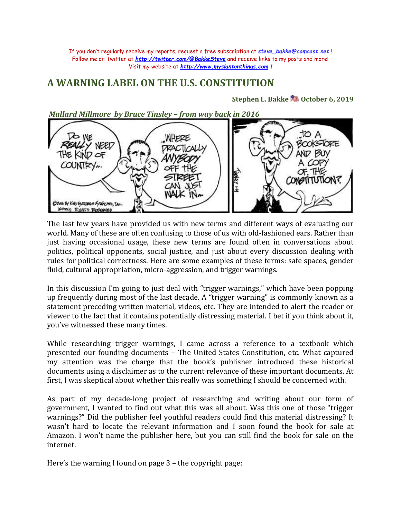If you don't regularly receive my reports, request a free subscription at *[steve\\_bakke@comcast.net](mailto:steve_bakke@comcast.net)* ! Follow me on Twitter at *<http://twitter.com/@BakkeSteve>* and receive links to my posts and more! Visit my website at *[http://www.myslantonthings.com](http://www.myslantonthings.com/) !*

## **A WARNING LABEL ON THE U.S. CONSTITUTION**

## **Stephen L. Bakk[e](http://images.search.yahoo.com/images/view;_ylt=A0PDoX6xJW1OCioAVR6JzbkF;_ylu=X3oDMTBlMTQ4cGxyBHNlYwNzcgRzbGsDaW1n?back=http://images.search.yahoo.com/search/images?_adv_prop=image&va=patriotic+icons&fr=yfp-t-701-s&b=271&tab=organic&w=371&h=425&imgurl=www.easyvectors.com/assets/images/vectors/afbig/usflag-clip-art.jpg&rurl=http://www.easyvectors.com/browse/other/usflag-clip-art&size=48.9+KB&name=Usflag+clip+art+-+Download+free+Other+vectors&p=patriotic+icons&oid=0d4d6c041da29871281e6d0f0786958b&fr2=&fr=yfp-t-701-s&tt=Usflag+clip+art+-+Download+free+Other+vectors&b=271&ni=30&no=291&tab=organic&sigr=11nlvf8jm&sigb=13gvc40mh&sigi=123f8s97f&.crumb=LfR3yHbsJpd) October 6, 2019**

*Mallard Millmore by Bruce Tinsley – from way back in 2016* to A  $76$  WE WHERE **ZOOKSTORE SY NEED ND BUY** THE KIND OF COUNTRY" Osar By Kies-Grazzues-Spaincaer, Jac. WORLD RIGHTS PERSONED

The last few years have provided us with new terms and different ways of evaluating our world. Many of these are often confusing to those of us with old-fashioned ears. Rather than just having occasional usage, these new terms are found often in conversations about politics, political opponents, social justice, and just about every discussion dealing with rules for political correctness. Here are some examples of these terms: safe spaces, gender fluid, cultural appropriation, micro-aggression, and trigger warnings.

In this discussion I'm going to just deal with "trigger warnings," which have been popping up frequently during most of the last decade. A "trigger warning" is commonly known as a statement preceding written material, videos, etc. They are intended to alert the reader or viewer to the fact that it contains potentially distressing material. I bet if you think about it, you've witnessed these many times.

While researching trigger warnings, I came across a reference to a textbook which presented our founding documents – The United States Constitution, etc. What captured my attention was the charge that the book's publisher introduced these historical documents using a disclaimer as to the current relevance of these important documents. At first, I was skeptical about whether this really was something I should be concerned with.

As part of my decade-long project of researching and writing about our form of government, I wanted to find out what this was all about. Was this one of those "trigger warnings?" Did the publisher feel youthful readers could find this material distressing? It wasn't hard to locate the relevant information and I soon found the book for sale at Amazon. I won't name the publisher here, but you can still find the book for sale on the internet.

Here's the warning I found on page 3 – the copyright page: